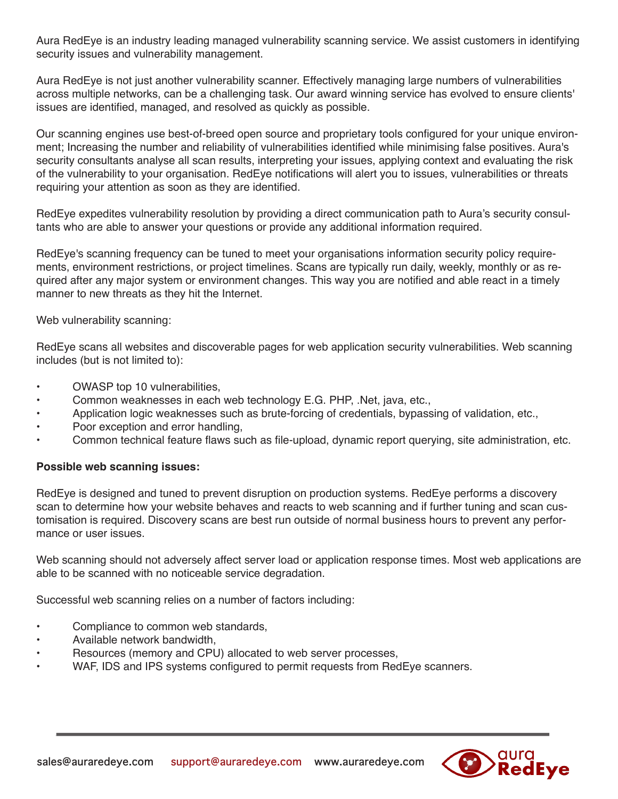Aura RedEye is an industry leading managed vulnerability scanning service. We assist customers in identifying security issues and vulnerability management.

Aura RedEye is not just another vulnerability scanner. Effectively managing large numbers of vulnerabilities across multiple networks, can be a challenging task. Our award winning service has evolved to ensure clients' issues are identified, managed, and resolved as quickly as possible.

Our scanning engines use best-of-breed open source and proprietary tools configured for your unique environment; Increasing the number and reliability of vulnerabilities identified while minimising false positives. Aura's security consultants analyse all scan results, interpreting your issues, applying context and evaluating the risk of the vulnerability to your organisation. RedEye notifications will alert you to issues, vulnerabilities or threats requiring your attention as soon as they are identified.

RedEye expedites vulnerability resolution by providing a direct communication path to Aura's security consultants who are able to answer your questions or provide any additional information required.

RedEye's scanning frequency can be tuned to meet your organisations information security policy requirements, environment restrictions, or project timelines. Scans are typically run daily, weekly, monthly or as required after any major system or environment changes. This way you are notified and able react in a timely manner to new threats as they hit the Internet.

Web vulnerability scanning:

RedEye scans all websites and discoverable pages for web application security vulnerabilities. Web scanning includes (but is not limited to):

- OWASP top 10 vulnerabilities,
- Common weaknesses in each web technology E.G. PHP, .Net, java, etc.,
- Application logic weaknesses such as brute-forcing of credentials, bypassing of validation, etc.,
- Poor exception and error handling,
- Common technical feature flaws such as file-upload, dynamic report querying, site administration, etc.

## **Possible web scanning issues:**

RedEye is designed and tuned to prevent disruption on production systems. RedEye performs a discovery scan to determine how your website behaves and reacts to web scanning and if further tuning and scan customisation is required. Discovery scans are best run outside of normal business hours to prevent any performance or user issues.

Web scanning should not adversely affect server load or application response times. Most web applications are able to be scanned with no noticeable service degradation.

Successful web scanning relies on a number of factors including:

- Compliance to common web standards,
- Available network bandwidth,
- Resources (memory and CPU) allocated to web server processes,
- WAF, IDS and IPS systems configured to permit requests from RedEye scanners.